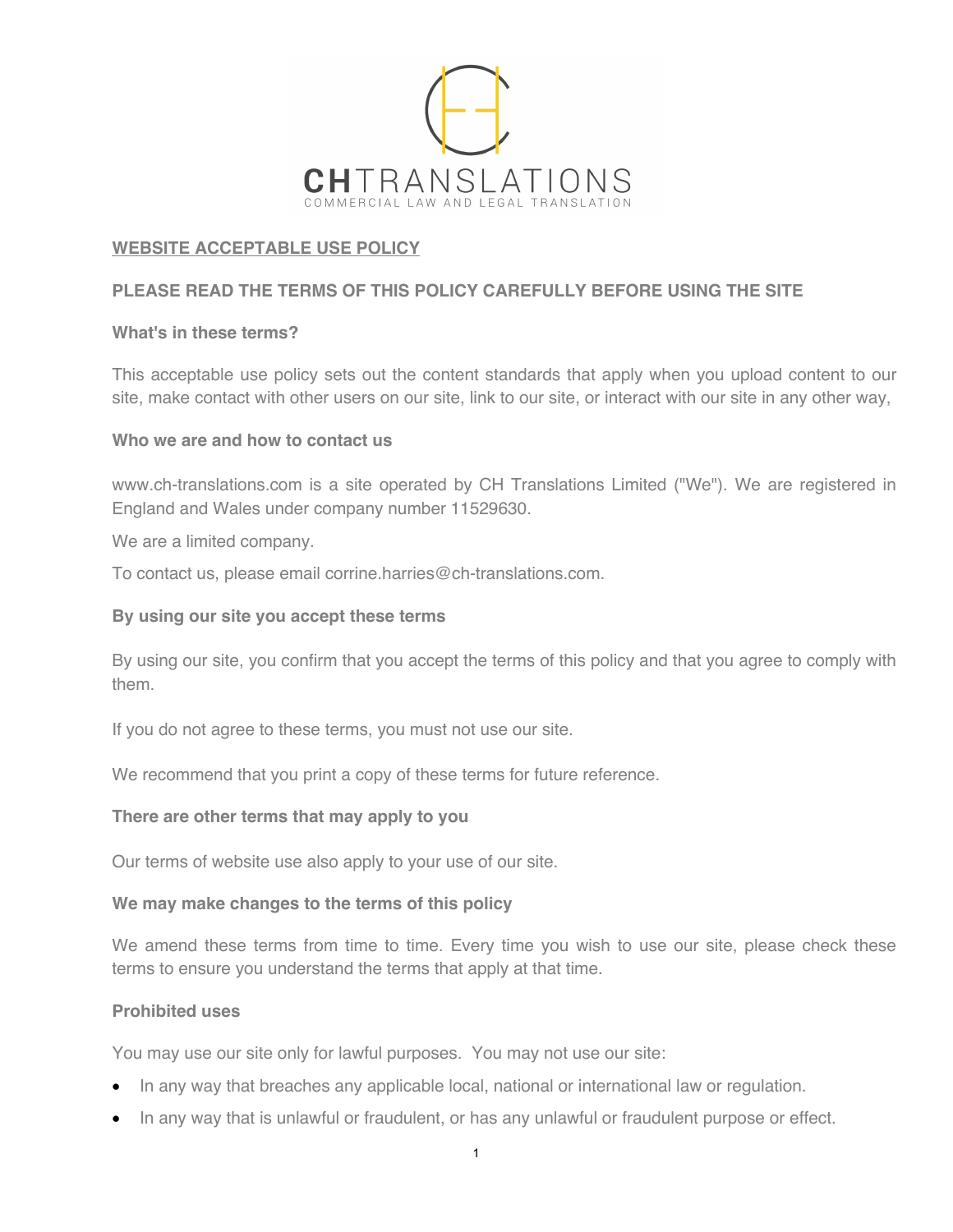

# **WEBSITE ACCEPTABLE USE POLICY**

# **PLEASE READ THE TERMS OF THIS POLICY CAREFULLY BEFORE USING THE SITE**

### **What's in these terms?**

This acceptable use policy sets out the content standards that apply when you upload content to our site, make contact with other users on our site, link to our site, or interact with our site in any other way,

## **Who we are and how to contact us**

www.ch-translations.com is a site operated by CH Translations Limited ("We"). We are registered in England and Wales under company number 11529630.

We are a limited company.

To contact us, please email corrine.harries@ch-translations.com.

## **By using our site you accept these terms**

By using our site, you confirm that you accept the terms of this policy and that you agree to comply with them.

If you do not agree to these terms, you must not use our site.

We recommend that you print a copy of these terms for future reference.

### **There are other terms that may apply to you**

Our terms of website use also apply to your use of our site.

### **We may make changes to the terms of this policy**

We amend these terms from time to time. Every time you wish to use our site, please check these terms to ensure you understand the terms that apply at that time.

### **Prohibited uses**

You may use our site only for lawful purposes. You may not use our site:

- In any way that breaches any applicable local, national or international law or regulation.
- In any way that is unlawful or fraudulent, or has any unlawful or fraudulent purpose or effect.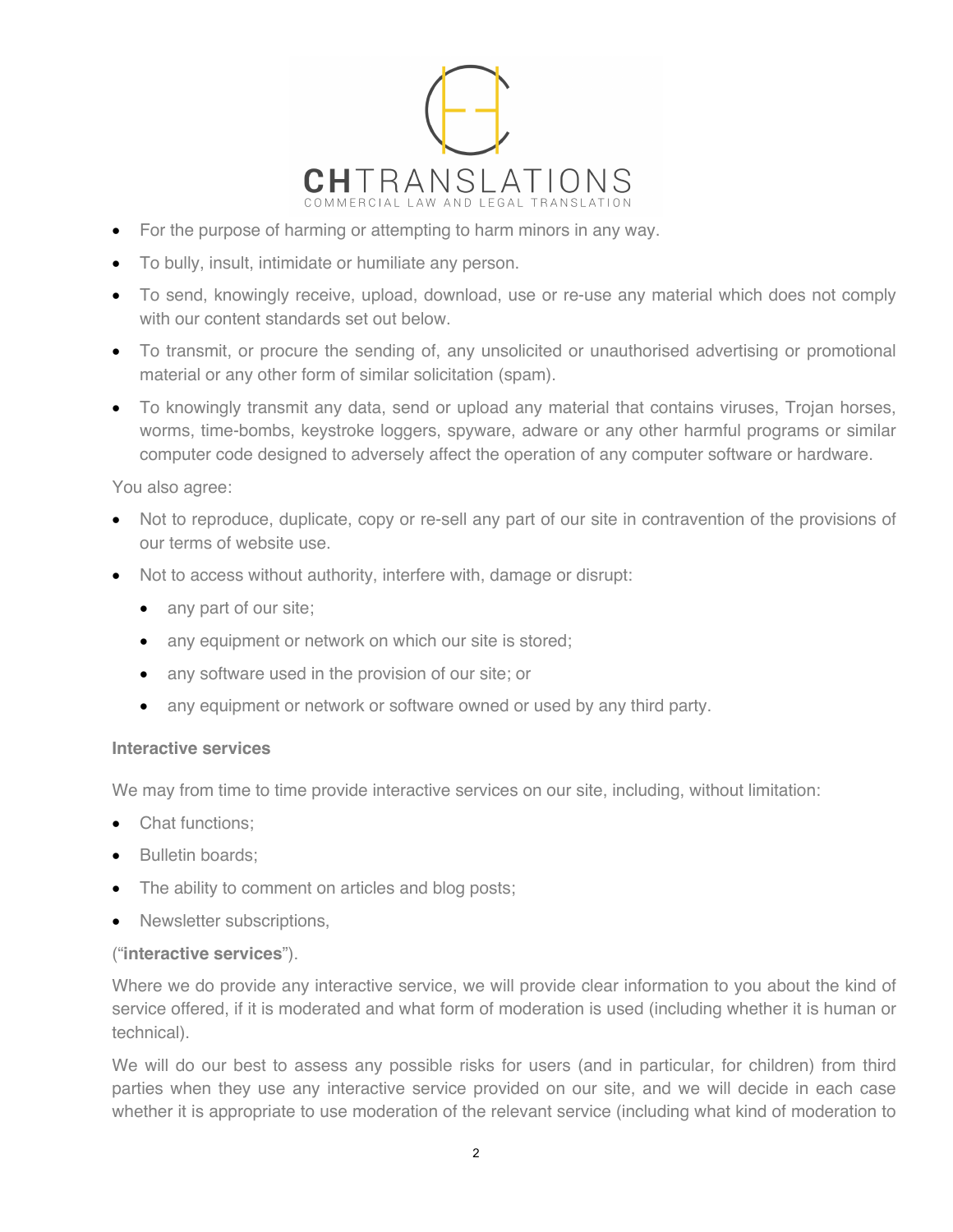

- For the purpose of harming or attempting to harm minors in any way.
- To bully, insult, intimidate or humiliate any person.
- To send, knowingly receive, upload, download, use or re-use any material which does not comply with our content standards set out below.
- To transmit, or procure the sending of, any unsolicited or unauthorised advertising or promotional material or any other form of similar solicitation (spam).
- To knowingly transmit any data, send or upload any material that contains viruses, Trojan horses, worms, time-bombs, keystroke loggers, spyware, adware or any other harmful programs or similar computer code designed to adversely affect the operation of any computer software or hardware.

You also agree:

- Not to reproduce, duplicate, copy or re-sell any part of our site in contravention of the provisions of our terms of website use.
- Not to access without authority, interfere with, damage or disrupt:
	- any part of our site;
	- any equipment or network on which our site is stored;
	- any software used in the provision of our site; or
	- any equipment or network or software owned or used by any third party.

#### **Interactive services**

We may from time to time provide interactive services on our site, including, without limitation:

- Chat functions:
- Bulletin boards:
- The ability to comment on articles and blog posts;
- Newsletter subscriptions.

#### ("**interactive services**").

Where we do provide any interactive service, we will provide clear information to you about the kind of service offered, if it is moderated and what form of moderation is used (including whether it is human or technical).

We will do our best to assess any possible risks for users (and in particular, for children) from third parties when they use any interactive service provided on our site, and we will decide in each case whether it is appropriate to use moderation of the relevant service (including what kind of moderation to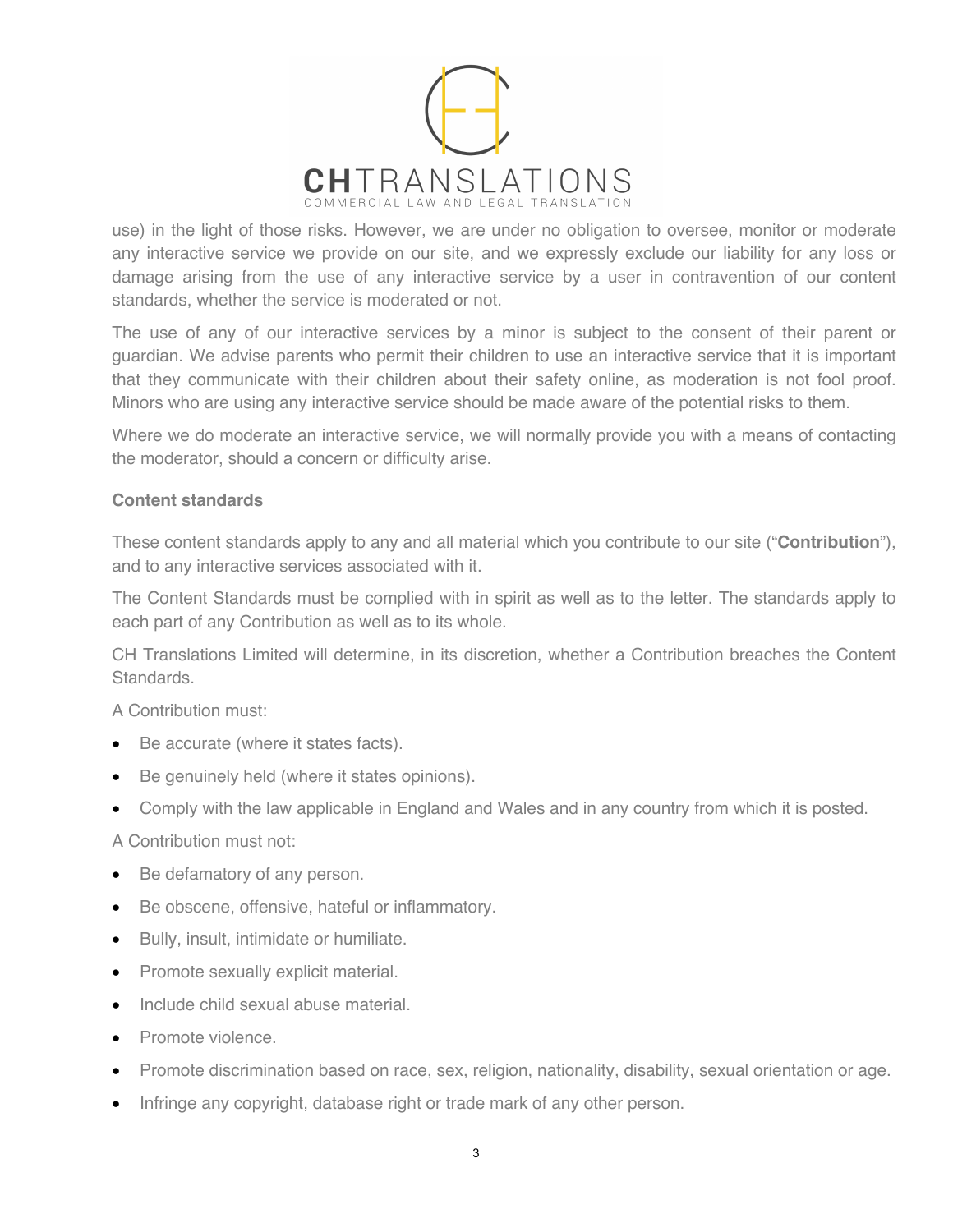

use) in the light of those risks. However, we are under no obligation to oversee, monitor or moderate any interactive service we provide on our site, and we expressly exclude our liability for any loss or damage arising from the use of any interactive service by a user in contravention of our content standards, whether the service is moderated or not.

The use of any of our interactive services by a minor is subject to the consent of their parent or guardian. We advise parents who permit their children to use an interactive service that it is important that they communicate with their children about their safety online, as moderation is not fool proof. Minors who are using any interactive service should be made aware of the potential risks to them.

Where we do moderate an interactive service, we will normally provide you with a means of contacting the moderator, should a concern or difficulty arise.

## **Content standards**

These content standards apply to any and all material which you contribute to our site ("**Contribution**"), and to any interactive services associated with it.

The Content Standards must be complied with in spirit as well as to the letter. The standards apply to each part of any Contribution as well as to its whole.

CH Translations Limited will determine, in its discretion, whether a Contribution breaches the Content Standards.

A Contribution must:

- Be accurate (where it states facts).
- Be genuinely held (where it states opinions).
- Comply with the law applicable in England and Wales and in any country from which it is posted.

A Contribution must not:

- Be defamatory of any person.
- Be obscene, offensive, hateful or inflammatory.
- Bully, insult, intimidate or humiliate.
- Promote sexually explicit material.
- Include child sexual abuse material.
- Promote violence.
- Promote discrimination based on race, sex, religion, nationality, disability, sexual orientation or age.
- Infringe any copyright, database right or trade mark of any other person.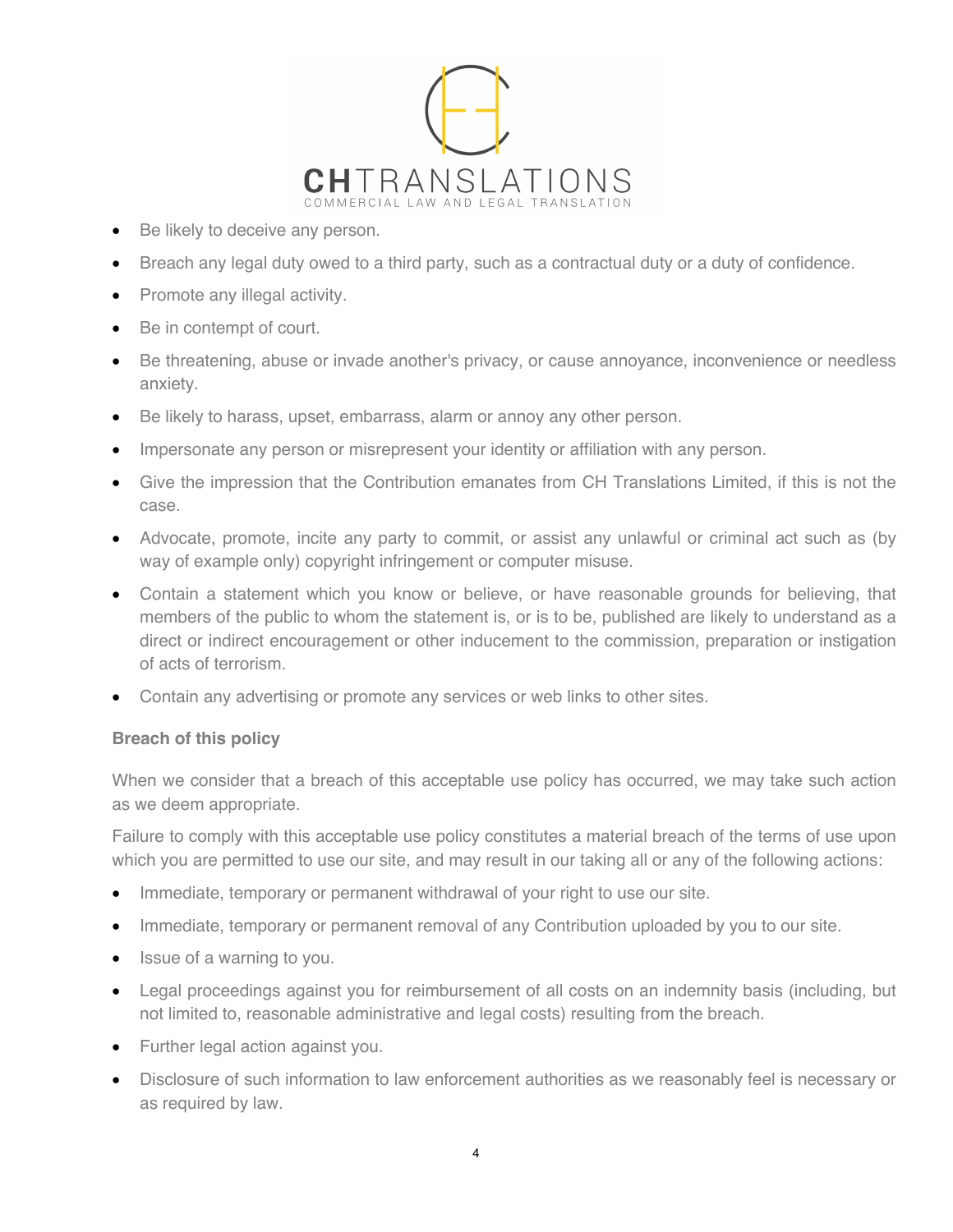

- Be likely to deceive any person.
- Breach any legal duty owed to a third party, such as a contractual duty or a duty of confidence.
- Promote any illegal activity.
- Be in contempt of court.
- Be threatening, abuse or invade another's privacy, or cause annoyance, inconvenience or needless anxiety.
- Be likely to harass, upset, embarrass, alarm or annoy any other person.
- Impersonate any person or misrepresent your identity or affiliation with any person.
- Give the impression that the Contribution emanates from CH Translations Limited, if this is not the case.
- Advocate, promote, incite any party to commit, or assist any unlawful or criminal act such as (by way of example only) copyright infringement or computer misuse.
- Contain a statement which you know or believe, or have reasonable grounds for believing, that members of the public to whom the statement is, or is to be, published are likely to understand as a direct or indirect encouragement or other inducement to the commission, preparation or instigation of acts of terrorism.
- Contain any advertising or promote any services or web links to other sites.

### **Breach of this policy**

When we consider that a breach of this acceptable use policy has occurred, we may take such action as we deem appropriate.

Failure to comply with this acceptable use policy constitutes a material breach of the terms of use upon which you are permitted to use our site, and may result in our taking all or any of the following actions:

- Immediate, temporary or permanent withdrawal of your right to use our site.
- Immediate, temporary or permanent removal of any Contribution uploaded by you to our site.
- Issue of a warning to you.
- Legal proceedings against you for reimbursement of all costs on an indemnity basis (including, but not limited to, reasonable administrative and legal costs) resulting from the breach.
- Further legal action against you.
- Disclosure of such information to law enforcement authorities as we reasonably feel is necessary or as required by law.